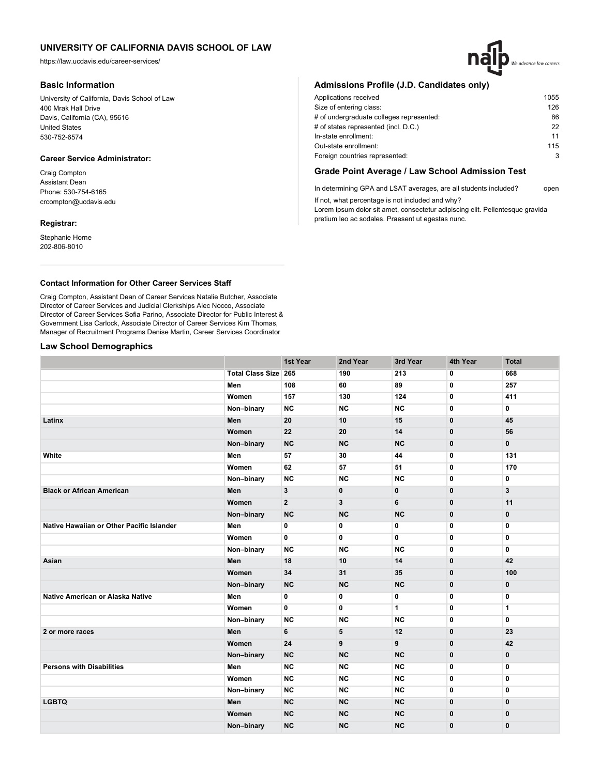https://law.ucdavis.edu/career-services/

## **Basic Information**

University of California, Davis School of Law 400 Mrak Hall Drive Davis, California (CA), 95616 United States 530-752-6574

## **Career Service Administrator:**

Craig Compton Assistant Dean Phone: 530-754-6165 crcompton@ucdavis.edu

### **Registrar:**

Stephanie Horne 202-806-8010

# **Admissions Profile (J.D. Candidates only)**

| Applications received                    | 1055 |
|------------------------------------------|------|
| Size of entering class:                  | 126  |
| # of undergraduate colleges represented: | 86   |
| # of states represented (incl. D.C.)     | 22   |
| In-state enrollment:                     | 11   |
| Out-state enrollment:                    | 115  |
| Foreign countries represented:           | 3    |
|                                          |      |

## **Grade Point Average / Law School Admission Test**

In determining GPA and LSAT averages, are all students included? open If not, what percentage is not included and why?

Lorem ipsum dolor sit amet, consectetur adipiscing elit. Pellentesque gravida pretium leo ac sodales. Praesent ut egestas nunc.

## **Contact Information for Other Career Services Staff**

Craig Compton, Assistant Dean of Career Services Natalie Butcher, Associate Director of Career Services and Judicial Clerkships Alec Nocco, Associate Director of Career Services Sofia Parino, Associate Director for Public Interest & Government Lisa Carlock, Associate Director of Career Services Kim Thomas, Manager of Recruitment Programs Denise Martin, Career Services Coordinator

## **Law School Demographics**

|                                           |                             | 1st Year       | 2nd Year  | 3rd Year     | 4th Year     | <b>Total</b>   |
|-------------------------------------------|-----------------------------|----------------|-----------|--------------|--------------|----------------|
|                                           | <b>Total Class Size 265</b> |                | 190       | 213          | 0            | 668            |
|                                           | Men                         | 108            | 60        | 89           | 0            | 257            |
|                                           | Women                       | 157            | 130       | 124          | 0            | 411            |
|                                           | Non-binary                  | <b>NC</b>      | <b>NC</b> | <b>NC</b>    | 0            | 0              |
| Latinx                                    | Men                         | 20             | 10        | 15           | $\mathbf{0}$ | 45             |
|                                           | Women                       | 22             | 20        | 14           | $\mathbf{0}$ | 56             |
|                                           | Non-binary                  | NC             | <b>NC</b> | <b>NC</b>    | $\mathbf{0}$ | $\mathbf{0}$   |
| White                                     | Men                         | 57             | 30        | 44           | 0            | 131            |
|                                           | Women                       | 62             | 57        | 51           | 0            | 170            |
|                                           | Non-binary                  | <b>NC</b>      | <b>NC</b> | <b>NC</b>    | 0            | 0              |
| <b>Black or African American</b>          | Men                         | 3              | 0         | $\mathbf 0$  | $\mathbf{0}$ | 3              |
|                                           | Women                       | $\overline{2}$ | 3         | 6            | $\mathbf{0}$ | 11             |
|                                           | Non-binary                  | <b>NC</b>      | <b>NC</b> | <b>NC</b>    | $\mathbf{0}$ | $\mathbf{0}$   |
| Native Hawaiian or Other Pacific Islander | Men                         | 0              | 0         | 0            | 0            | 0              |
|                                           | Women                       | 0              | 0         | 0            | 0            | 0              |
|                                           | Non-binary                  | <b>NC</b>      | <b>NC</b> | <b>NC</b>    | 0            | 0              |
| Asian                                     | Men                         | 18             | 10        | 14           | $\mathbf{0}$ | 42             |
|                                           | Women                       | 34             | 31        | 35           | 0            | 100            |
|                                           | Non-binary                  | NC             | <b>NC</b> | <b>NC</b>    | $\mathbf 0$  | 0              |
| Native American or Alaska Native          | Men                         | 0              | 0         | 0            | $\mathbf{0}$ | 0              |
|                                           | Women                       | 0              | 0         | $\mathbf{1}$ | 0            | 1              |
|                                           | Non-binary                  | <b>NC</b>      | <b>NC</b> | <b>NC</b>    | 0            | 0              |
| 2 or more races                           | Men                         | 6              | 5         | 12           | $\mathbf{0}$ | 23             |
|                                           | Women                       | 24             | 9         | 9            | $\mathbf 0$  | 42             |
|                                           | Non-binary                  | NC             | <b>NC</b> | <b>NC</b>    | $\mathbf 0$  | 0              |
| <b>Persons with Disabilities</b>          | Men                         | <b>NC</b>      | <b>NC</b> | <b>NC</b>    | 0            | $\overline{0}$ |
|                                           | Women                       | <b>NC</b>      | <b>NC</b> | <b>NC</b>    | 0            | 0              |
|                                           | Non-binary                  | <b>NC</b>      | <b>NC</b> | <b>NC</b>    | 0            | 0              |
| <b>LGBTQ</b>                              | Men                         | NC             | NC        | NC           | $\mathbf{0}$ | $\mathbf{0}$   |
|                                           | Women                       | <b>NC</b>      | <b>NC</b> | <b>NC</b>    | $\mathbf 0$  | $\mathbf 0$    |
|                                           | Non-binary                  | <b>NC</b>      | <b>NC</b> | <b>NC</b>    | $\bf{0}$     | $\mathbf{0}$   |

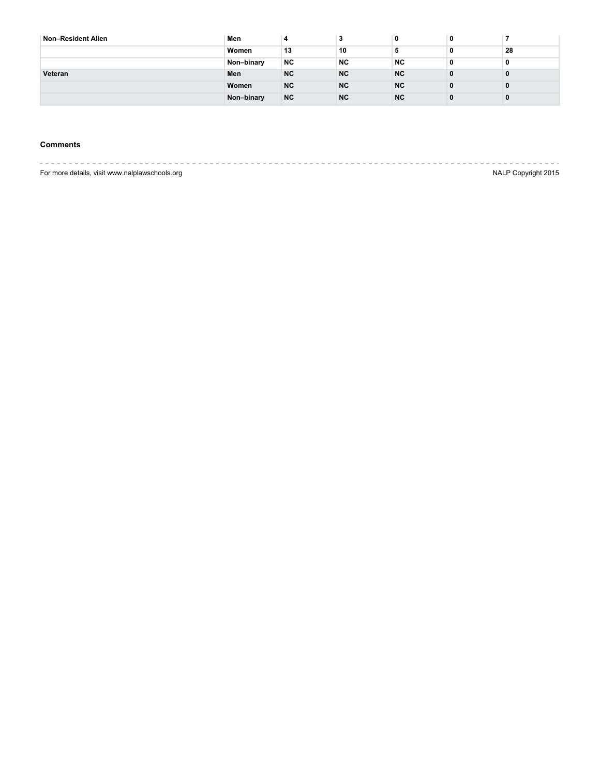| Non-Resident Alien | Men        | 4         | ×.        | 0         | 0        |    |
|--------------------|------------|-----------|-----------|-----------|----------|----|
|                    | Women      | 13        | 10        | э         | 0        | 28 |
|                    | Non-binary | NC        | <b>NC</b> | <b>NC</b> | 0        | 0  |
| Veteran            | Men        | <b>NC</b> | <b>NC</b> | <b>NC</b> | 0        | 0  |
|                    | Women      | <b>NC</b> | <b>NC</b> | <b>NC</b> | $\bf{0}$ | 0  |
|                    | Non-binary | <b>NC</b> | <b>NC</b> | <b>NC</b> | $\bf{0}$ | 0  |

## **Comments**

---------------------For more details, visit www.nalplawschools.org NALP Copyright 2015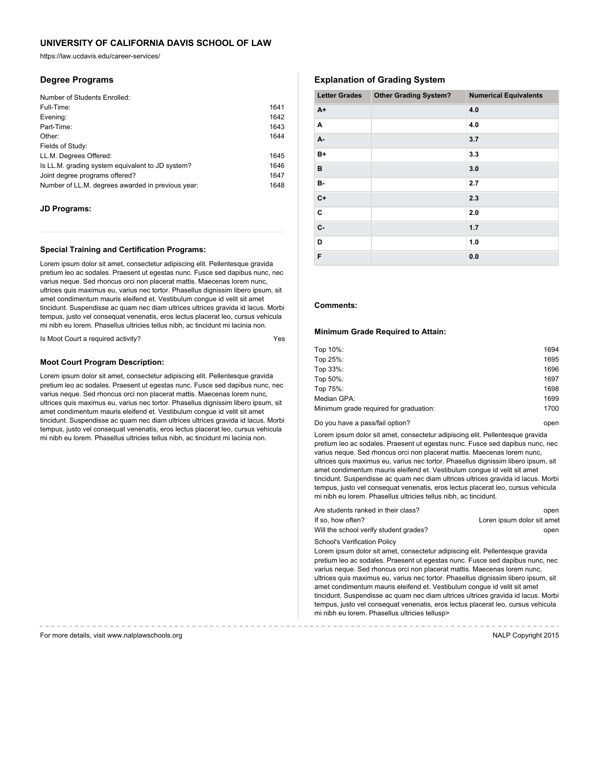https://law.ucdavis.edu/career-services/

## **Degree Programs**

| Number of Students Enrolled:                      |      |
|---------------------------------------------------|------|
| Full-Time:                                        | 1641 |
| Evening:                                          | 1642 |
| Part-Time:                                        | 1643 |
| Other:                                            | 1644 |
| Fields of Study:                                  |      |
| LL.M. Degrees Offered:                            | 1645 |
| Is LL.M. grading system equivalent to JD system?  | 1646 |
| Joint degree programs offered?                    | 1647 |
| Number of LL.M. degrees awarded in previous year: | 1648 |

### **JD Programs:**

### **Special Training and Certification Programs:**

Lorem ipsum dolor sit amet, consectetur adipiscing elit. Pellentesque gravida pretium leo ac sodales. Praesent ut egestas nunc. Fusce sed dapibus nunc, nec varius neque. Sed rhoncus orci non placerat mattis. Maecenas lorem nunc, ultrices quis maximus eu, varius nec tortor. Phasellus dignissim libero ipsum, sit amet condimentum mauris eleifend et. Vestibulum congue id velit sit amet tincidunt. Suspendisse ac quam nec diam ultrices ultrices gravida id lacus. Morbi tempus, justo vel consequat venenatis, eros lectus placerat leo, cursus vehicula mi nibh eu lorem. Phasellus ultricies tellus nibh, ac tincidunt mi lacinia non.

Is Moot Court a required activity?

#### **Moot Court Program Description:**

Lorem ipsum dolor sit amet, consectetur adipiscing elit. Pellentesque gravida pretium leo ac sodales. Praesent ut egestas nunc. Fusce sed dapibus nunc, nec varius neque. Sed rhoncus orci non placerat mattis. Maecenas lorem nunc, ultrices quis maximus eu, varius nec tortor. Phasellus dignissim libero ipsum, sit amet condimentum mauris eleifend et. Vestibulum congue id velit sit amet tincidunt. Suspendisse ac quam nec diam ultrices ultrices gravida id lacus. Morbi tempus, justo vel consequat venenatis, eros lectus placerat leo, cursus vehicula mi nibh eu lorem. Phasellus ultricies tellus nibh, ac tincidunt mi lacinia non.

# **Explanation of Grading System**

| <b>Letter Grades</b> | <b>Other Grading System?</b> | <b>Numerical Equivalents</b> |
|----------------------|------------------------------|------------------------------|
| $A+$                 |                              | 4.0                          |
| Α                    |                              | 4.0                          |
| А-                   |                              | 3.7                          |
| $B+$                 |                              | 3.3                          |
| в                    |                              | 3.0                          |
| в-                   |                              | 2.7                          |
| $C+$                 |                              | 2.3                          |
| C                    |                              | 2.0                          |
| $C -$                |                              | 1.7                          |
| D                    |                              | 1.0                          |
| F                    |                              | 0.0                          |

## **Comments:**

#### **Minimum Grade Required to Attain:**

| Top 10%:                               | 1694 |
|----------------------------------------|------|
| Top 25%:                               | 1695 |
| Top 33%:                               | 1696 |
| Top 50%:                               | 1697 |
| Top 75%:                               | 1698 |
| Median GPA:                            | 1699 |
| Minimum grade required for graduation: | 1700 |
|                                        |      |

Do you have a pass/fail option? The control open by the control open by the control open

Lorem ipsum dolor sit amet, consectetur adipiscing elit. Pellentesque gravida pretium leo ac sodales. Praesent ut egestas nunc. Fusce sed dapibus nunc, nec varius neque. Sed rhoncus orci non placerat mattis. Maecenas lorem nunc, ultrices quis maximus eu, varius nec tortor. Phasellus dignissim libero ipsum, sit amet condimentum mauris eleifend et. Vestibulum congue id velit sit amet tincidunt. Suspendisse ac quam nec diam ultrices ultrices gravida id lacus. Morbi tempus, justo vel consequat venenatis, eros lectus placerat leo, cursus vehicula mi nibh eu lorem. Phasellus ultricies tellus nibh, ac tincidunt.

| Are students ranked in their class?    | open                       |
|----------------------------------------|----------------------------|
| If so. how often?                      | Loren ipsum dolor sit amet |
| Will the school verify student grades? | open                       |

School's Verification Policy

Lorem ipsum dolor sit amet, consectetur adipiscing elit. Pellentesque gravida pretium leo ac sodales. Praesent ut egestas nunc. Fusce sed dapibus nunc, nec varius neque. Sed rhoncus orci non placerat mattis. Maecenas lorem nunc, ultrices quis maximus eu, varius nec tortor. Phasellus dignissim libero ipsum, sit amet condimentum mauris eleifend et. Vestibulum congue id velit sit amet tincidunt. Suspendisse ac quam nec diam ultrices ultrices gravida id lacus. Morbi tempus, justo vel consequat venenatis, eros lectus placerat leo, cursus vehicula mi nibh eu lorem. Phasellus ultricies tellusp>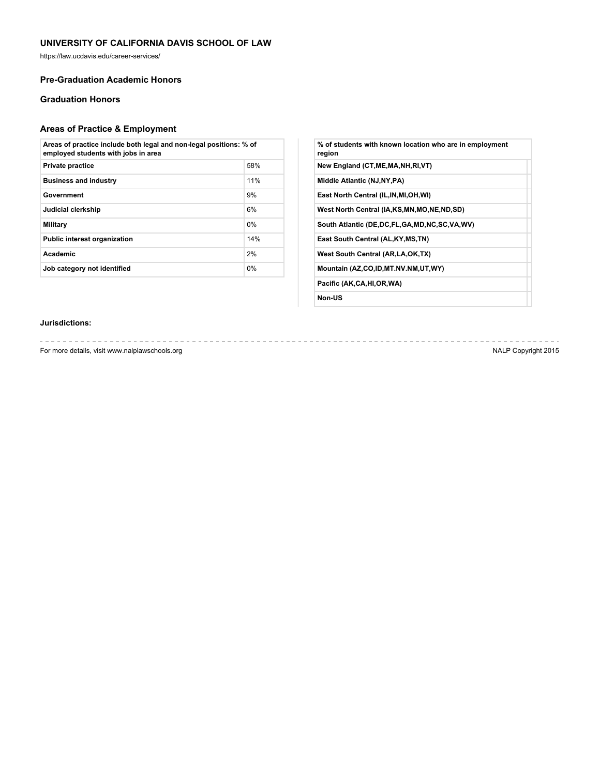https://law.ucdavis.edu/career-services/

## **Pre-Graduation Academic Honors**

# **Graduation Honors**

# **Areas of Practice & Employment**

| Areas of practice include both legal and non-legal positions: % of<br>employed students with jobs in area |       |  |
|-----------------------------------------------------------------------------------------------------------|-------|--|
| <b>Private practice</b>                                                                                   | 58%   |  |
| <b>Business and industry</b>                                                                              | 11%   |  |
| Government                                                                                                | 9%    |  |
| Judicial clerkship                                                                                        | 6%    |  |
| Military                                                                                                  | $0\%$ |  |
| <b>Public interest organization</b>                                                                       | 14%   |  |
| <b>Academic</b>                                                                                           | 2%    |  |
| Job category not identified                                                                               | 0%    |  |

| % of students with known location who are in employment<br>region |  |
|-------------------------------------------------------------------|--|
| New England (CT, ME, MA, NH, RI, VT)                              |  |
| Middle Atlantic (NJ, NY, PA)                                      |  |
| East North Central (IL, IN, MI, OH, WI)                           |  |
| West North Central (IA,KS,MN,MO,NE,ND,SD)                         |  |
| South Atlantic (DE, DC, FL, GA, MD, NC, SC, VA, WV)               |  |
| East South Central (AL, KY, MS, TN)                               |  |
| West South Central (AR, LA, OK, TX)                               |  |
| Mountain (AZ,CO,ID,MT.NV.NM,UT,WY)                                |  |
| Pacific (AK,CA,HI,OR,WA)                                          |  |
|                                                                   |  |

**Non-US**

# **Jurisdictions:**

For more details, visit www.nalplawschools.org NALP Copyright 2015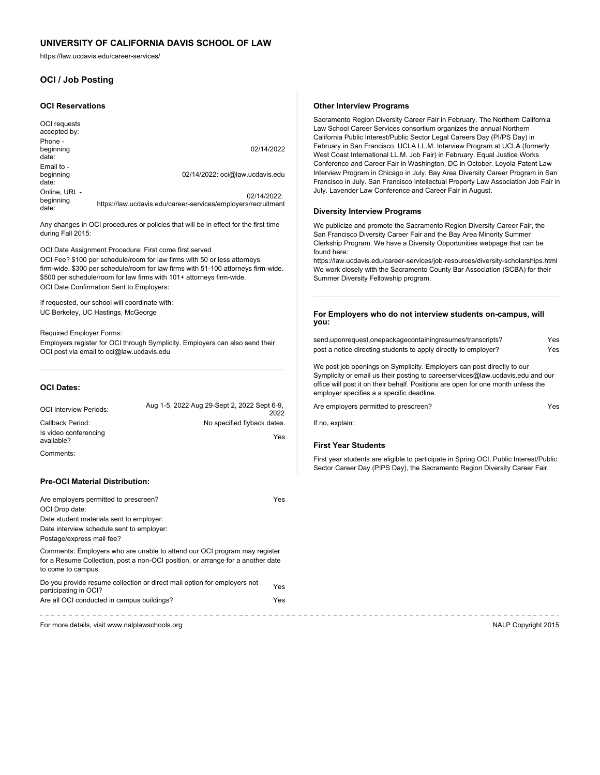https://law.ucdavis.edu/career-services/

# **OCI / Job Posting**

#### **OCI Reservations**

| OCI requests<br>accepted by:        |                                                                              |
|-------------------------------------|------------------------------------------------------------------------------|
| Phone -<br>beginning<br>date:       | 02/14/2022                                                                   |
| Email to -<br>beginning<br>date:    | 02/14/2022: oci@law.ucdavis.edu                                              |
| Online, URL -<br>beginning<br>date: | 02/14/2022:<br>https://law.ucdavis.edu/career-services/employers/recruitment |

Any changes in OCI procedures or policies that will be in effect for the first time during Fall 2015:

OCI Date Assignment Procedure: First come first served OCI Fee? \$100 per schedule/room for law firms with 50 or less attorneys firm-wide. \$300 per schedule/room for law firms with 51-100 attorneys firm-wide. \$500 per schedule/room for law firms with 101+ attorneys firm-wide. OCI Date Confirmation Sent to Employers:

If requested, our school will coordinate with: UC Berkeley, UC Hastings, McGeorge

Required Employer Forms: Employers register for OCI through Symplicity. Employers can also send their OCI post via email to oci@law.ucdavis.edu

### **OCI Dates:**

| <b>OCI Interview Periods:</b>       | Aug 1-5, 2022 Aug 29-Sept 2, 2022 Sept 6-9,<br>2022 |
|-------------------------------------|-----------------------------------------------------|
| Callback Period:                    | No specified flyback dates.                         |
| Is video conferencing<br>available? | Yes                                                 |
| Comments:                           |                                                     |

### **Pre-OCI Material Distribution:**

| Are employers permitted to prescreen?                                                                                                                                              | Yes |
|------------------------------------------------------------------------------------------------------------------------------------------------------------------------------------|-----|
| OCI Drop date:                                                                                                                                                                     |     |
| Date student materials sent to employer:                                                                                                                                           |     |
| Date interview schedule sent to employer:                                                                                                                                          |     |
| Postage/express mail fee?                                                                                                                                                          |     |
| Comments: Employers who are unable to attend our OCI program may register<br>for a Resume Collection, post a non-OCI position, or arrange for a another date<br>to come to campus. |     |
| Do you provide resume collection or direct mail option for employers not<br>participating in OCI?                                                                                  | Yes |
| Are all OCI conducted in campus buildings?                                                                                                                                         | Yes |

For more details, visit www.nalplawschools.org NALP Copyright 2015

#### **Other Interview Programs**

Sacramento Region Diversity Career Fair in February. The Northern California Law School Career Services consortium organizes the annual Northern California Public Interest/Public Sector Legal Careers Day (PI/PS Day) in February in San Francisco. UCLA LL.M. Interview Program at UCLA (formerly West Coast International LL.M. Job Fair) in February. Equal Justice Works Conference and Career Fair in Washington, DC in October. Loyola Patent Law Interview Program in Chicago in July. Bay Area Diversity Career Program in San Francisco in July. San Francisco Intellectual Property Law Association Job Fair in July. Lavender Law Conference and Career Fair in August.

#### **Diversity Interview Programs**

We publicize and promote the Sacramento Region Diversity Career Fair, the San Francisco Diversity Career Fair and the Bay Area Minority Summer Clerkship Program. We have a Diversity Opportunities webpage that can be found here:

https://law.ucdavis.edu/career-services/job-resources/diversity-scholarships.html We work closely with the Sacramento County Bar Association (SCBA) for their Summer Diversity Fellowship program.

#### **For Employers who do not interview students on-campus, will you:**

| send,uponrequest,onepackagecontainingresumes/transcripts?       | Yes |
|-----------------------------------------------------------------|-----|
| post a notice directing students to apply directly to employer? | Yes |

We post job openings on Symplicity. Employers can post directly to our Symplicity or email us their posting to careerservices@law.ucdavis.edu and our office will post it on their behalf. Positions are open for one month unless the employer specifies a a specific deadline.

Are employers permitted to prescreen?

If no, explain:

## **First Year Students**

First year students are eligible to participate in Spring OCI, Public Interest/Public Sector Career Day (PIPS Day), the Sacramento Region Diversity Career Fair.